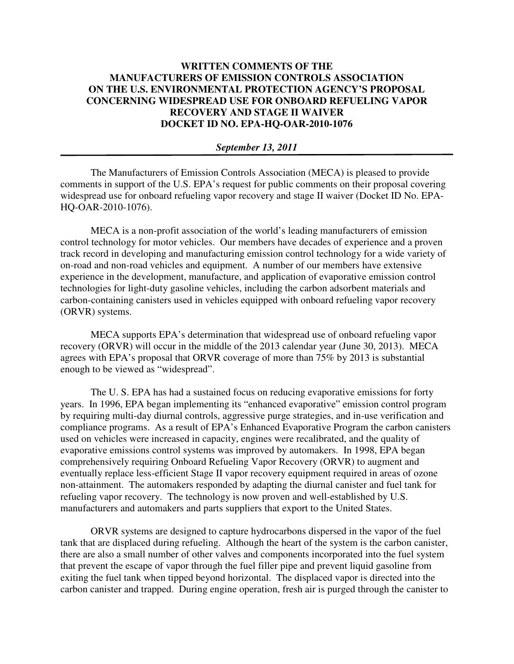## **WRITTEN COMMENTS OF THE MANUFACTURERS OF EMISSION CONTROLS ASSOCIATION ON THE U.S. ENVIRONMENTAL PROTECTION AGENCY'S PROPOSAL CONCERNING WIDESPREAD USE FOR ONBOARD REFUELING VAPOR RECOVERY AND STAGE II WAIVER DOCKET ID NO. EPA-HQ-OAR-2010-1076**

## *September 13, 2011*

The Manufacturers of Emission Controls Association (MECA) is pleased to provide comments in support of the U.S. EPA's request for public comments on their proposal covering widespread use for onboard refueling vapor recovery and stage II waiver (Docket ID No. EPA-HQ-OAR-2010-1076).

MECA is a non-profit association of the world's leading manufacturers of emission control technology for motor vehicles. Our members have decades of experience and a proven track record in developing and manufacturing emission control technology for a wide variety of on-road and non-road vehicles and equipment. A number of our members have extensive experience in the development, manufacture, and application of evaporative emission control technologies for light-duty gasoline vehicles, including the carbon adsorbent materials and carbon-containing canisters used in vehicles equipped with onboard refueling vapor recovery (ORVR) systems.

MECA supports EPA's determination that widespread use of onboard refueling vapor recovery (ORVR) will occur in the middle of the 2013 calendar year (June 30, 2013). MECA agrees with EPA's proposal that ORVR coverage of more than 75% by 2013 is substantial enough to be viewed as "widespread".

The U. S. EPA has had a sustained focus on reducing evaporative emissions for forty years. In 1996, EPA began implementing its "enhanced evaporative" emission control program by requiring multi-day diurnal controls, aggressive purge strategies, and in-use verification and compliance programs. As a result of EPA's Enhanced Evaporative Program the carbon canisters used on vehicles were increased in capacity, engines were recalibrated, and the quality of evaporative emissions control systems was improved by automakers. In 1998, EPA began comprehensively requiring Onboard Refueling Vapor Recovery (ORVR) to augment and eventually replace less-efficient Stage II vapor recovery equipment required in areas of ozone non-attainment. The automakers responded by adapting the diurnal canister and fuel tank for refueling vapor recovery. The technology is now proven and well-established by U.S. manufacturers and automakers and parts suppliers that export to the United States.

 ORVR systems are designed to capture hydrocarbons dispersed in the vapor of the fuel tank that are displaced during refueling. Although the heart of the system is the carbon canister, there are also a small number of other valves and components incorporated into the fuel system that prevent the escape of vapor through the fuel filler pipe and prevent liquid gasoline from exiting the fuel tank when tipped beyond horizontal. The displaced vapor is directed into the carbon canister and trapped. During engine operation, fresh air is purged through the canister to